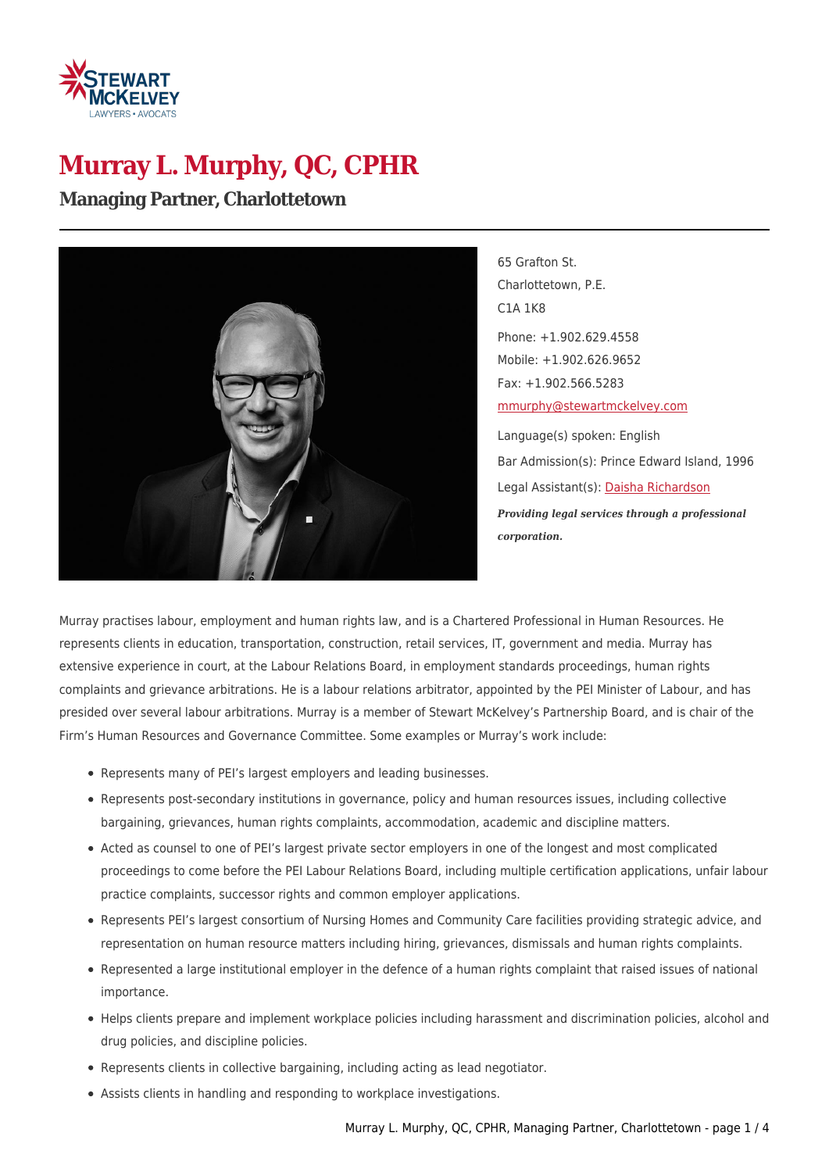

# **Murray L. Murphy, QC, CPHR**

**Managing Partner, Charlottetown**



65 Grafton St. Charlottetown, P.E. C1A 1K8 Phone: +1.902.629.4558 Mobile: +1.902.626.9652 Fax: +1.902.566.5283 [mmurphy@stewartmckelvey.com](mailto:mmurphy@stewartmckelvey.com) Language(s) spoken: English Bar Admission(s): Prince Edward Island, 1996 Legal Assistant(s): [Daisha Richardson](https://www.stewartmckelvey.com/legal_assistant/richardson-daisha) *Providing legal services through a professional corporation.*

Murray practises labour, employment and human rights law, and is a Chartered Professional in Human Resources. He represents clients in education, transportation, construction, retail services, IT, government and media. Murray has extensive experience in court, at the Labour Relations Board, in employment standards proceedings, human rights complaints and grievance arbitrations. He is a labour relations arbitrator, appointed by the PEI Minister of Labour, and has presided over several labour arbitrations. Murray is a member of Stewart McKelvey's Partnership Board, and is chair of the Firm's Human Resources and Governance Committee. Some examples or Murray's work include:

- Represents many of PEI's largest employers and leading businesses.
- Represents post-secondary institutions in governance, policy and human resources issues, including collective bargaining, grievances, human rights complaints, accommodation, academic and discipline matters.
- Acted as counsel to one of PEI's largest private sector employers in one of the longest and most complicated proceedings to come before the PEI Labour Relations Board, including multiple certification applications, unfair labour practice complaints, successor rights and common employer applications.
- Represents PEI's largest consortium of Nursing Homes and Community Care facilities providing strategic advice, and representation on human resource matters including hiring, grievances, dismissals and human rights complaints.
- Represented a large institutional employer in the defence of a human rights complaint that raised issues of national importance.
- Helps clients prepare and implement workplace policies including harassment and discrimination policies, alcohol and drug policies, and discipline policies.
- Represents clients in collective bargaining, including acting as lead negotiator.
- Assists clients in handling and responding to workplace investigations.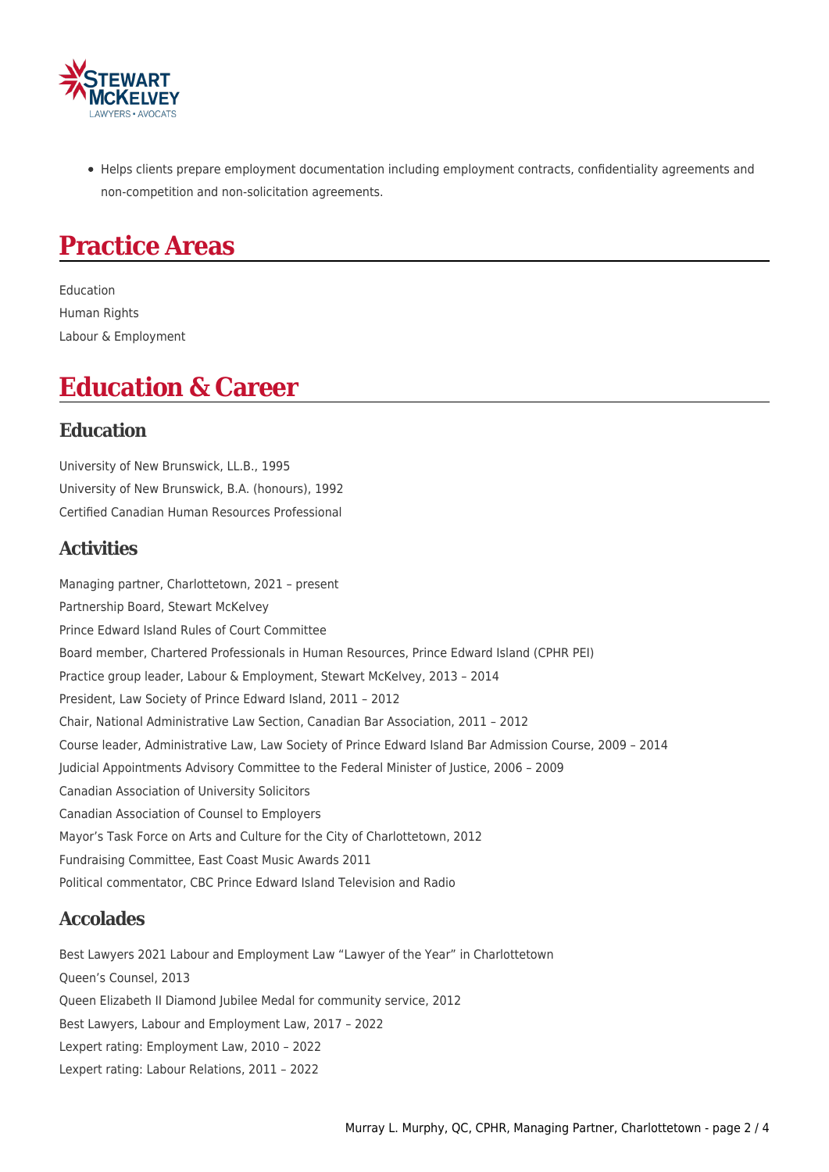

Helps clients prepare employment documentation including employment contracts, confidentiality agreements and non-competition and non-solicitation agreements.

## **Practice Areas**

Education Human Rights Labour & Employment

### **Education & Career**

#### **Education**

University of New Brunswick, LL.B., 1995 University of New Brunswick, B.A. (honours), 1992 Certified Canadian Human Resources Professional

#### **Activities**

Managing partner, Charlottetown, 2021 – present Partnership Board, Stewart McKelvey Prince Edward Island Rules of Court Committee Board member, Chartered Professionals in Human Resources, Prince Edward Island (CPHR PEI) Practice group leader, Labour & Employment, Stewart McKelvey, 2013 – 2014 President, Law Society of Prince Edward Island, 2011 – 2012 Chair, National Administrative Law Section, Canadian Bar Association, 2011 – 2012 Course leader, Administrative Law, Law Society of Prince Edward Island Bar Admission Course, 2009 – 2014 Judicial Appointments Advisory Committee to the Federal Minister of Justice, 2006 – 2009 Canadian Association of University Solicitors Canadian Association of Counsel to Employers Mayor's Task Force on Arts and Culture for the City of Charlottetown, 2012 Fundraising Committee, East Coast Music Awards 2011 Political commentator, CBC Prince Edward Island Television and Radio

#### **Accolades**

Best Lawyers 2021 Labour and Employment Law "Lawyer of the Year" in Charlottetown Queen's Counsel, 2013 Queen Elizabeth II Diamond Jubilee Medal for community service, 2012 Best Lawyers, Labour and Employment Law, 2017 – 2022 Lexpert rating: Employment Law, 2010 – 2022 Lexpert rating: Labour Relations, 2011 – 2022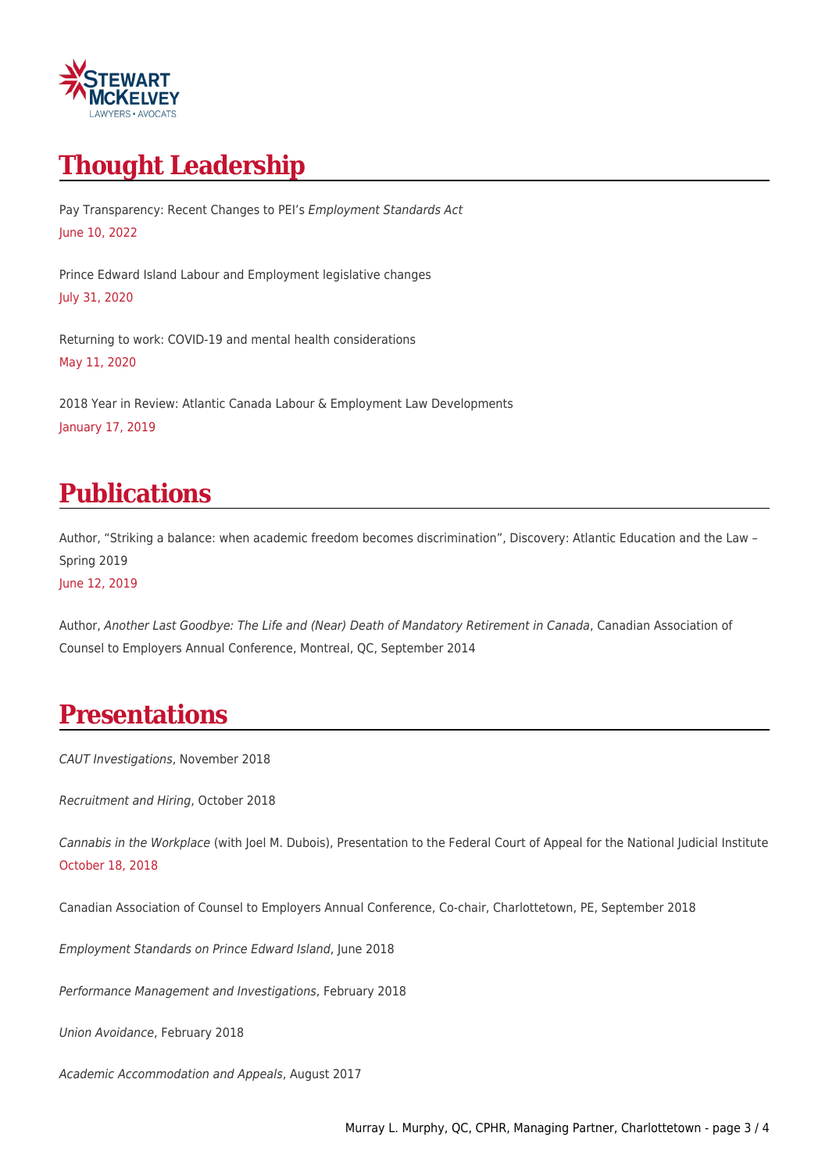

# **Thought Leadership**

Pay Transparency: Recent Changes to PEI's Employment Standards Act June 10, 2022

Prince Edward Island Labour and Employment legislative changes July 31, 2020

Returning to work: COVID-19 and mental health considerations May 11, 2020

2018 Year in Review: Atlantic Canada Labour & Employment Law Developments January 17, 2019

### **Publications**

Author, "Striking a balance: when academic freedom becomes discrimination", Discovery: Atlantic Education and the Law – Spring 2019 June 12, 2019

Author, Another Last Goodbye: The Life and (Near) Death of Mandatory Retirement in Canada, Canadian Association of Counsel to Employers Annual Conference, Montreal, QC, September 2014

## **Presentations**

CAUT Investigations, November 2018

Recruitment and Hiring, October 2018

Cannabis in the Workplace (with Joel M. Dubois), Presentation to the Federal Court of Appeal for the National Judicial Institute October 18, 2018

Canadian Association of Counsel to Employers Annual Conference, Co-chair, Charlottetown, PE, September 2018

Employment Standards on Prince Edward Island, June 2018

Performance Management and Investigations, February 2018

Union Avoidance, February 2018

Academic Accommodation and Appeals, August 2017